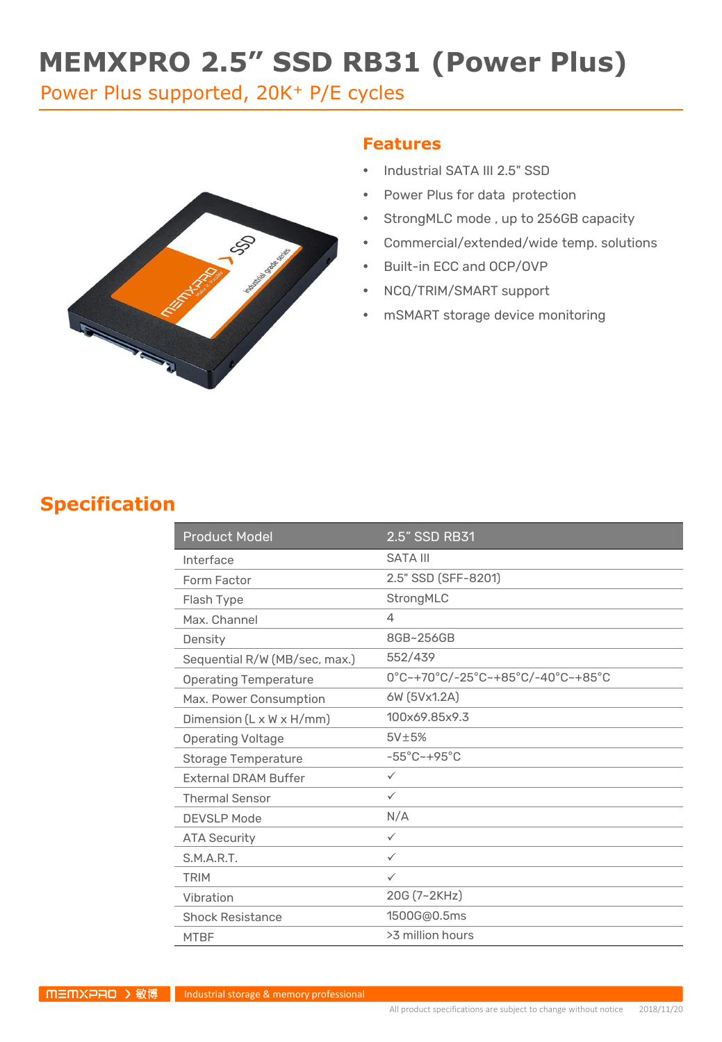# **MEMXPRO 2.5" SSD RB31 (Power Plus)**

Power Plus supported, 20K<sup>+</sup> P/E cycles



#### **Features**

- Industrial SATA III 2.5" SSD
- Power Plus for data protection
- StrongMLC mode , up to 256GB capacity
- Commercial/extended/wide temp. solutions
- Built-in ECC and OCP/OVP
- NCQ/TRIM/SMART support
- mSMART storage device monitoring

#### **Specification**

| <b>Product Model</b>          | 2.5" SSD RB31                     |  |
|-------------------------------|-----------------------------------|--|
| Interface                     | <b>SATA III</b>                   |  |
| Form Factor                   | 2.5" SSD (SFF-8201)               |  |
| Flash Type                    | StrongMLC                         |  |
| Max. Channel                  | 4                                 |  |
| Density                       | 8GB~256GB                         |  |
| Sequential R/W (MB/sec, max.) | 552/439                           |  |
| <b>Operating Temperature</b>  | 0°C~+70°C/-25°C~+85°C/-40°C~+85°C |  |
| Max. Power Consumption        | 6W (5Vx1.2A)                      |  |
| Dimension (L x W x H/mm)      | 100x69.85x9.3                     |  |
| <b>Operating Voltage</b>      | $5V\pm5%$                         |  |
| <b>Storage Temperature</b>    | $-55^{\circ}$ C $-+95^{\circ}$ C  |  |
| <b>External DRAM Buffer</b>   | $\checkmark$                      |  |
| <b>Thermal Sensor</b>         | $\checkmark$                      |  |
| <b>DEVSLP Mode</b>            | N/A                               |  |
| <b>ATA Security</b>           | $\checkmark$                      |  |
| S.M.A.R.T.                    | $\checkmark$                      |  |
| <b>TRIM</b>                   | $\checkmark$                      |  |
| Vibration                     | 20G (7~2KHz)                      |  |
| <b>Shock Resistance</b>       | 1500G@0.5ms                       |  |
| <b>MTBF</b>                   | >3 million hours                  |  |